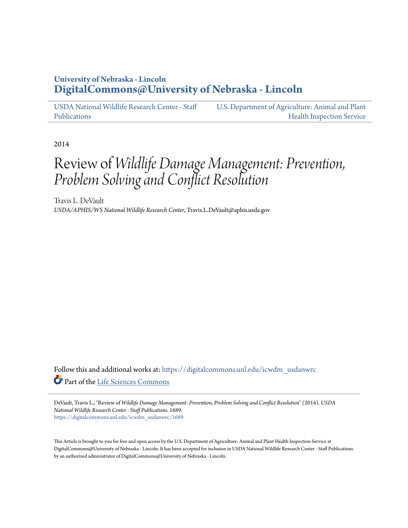### **University of Nebraska - Lincoln [DigitalCommons@University of Nebraska - Lincoln](https://digitalcommons.unl.edu?utm_source=digitalcommons.unl.edu%2Ficwdm_usdanwrc%2F1689&utm_medium=PDF&utm_campaign=PDFCoverPages)**

[USDA National Wildlife Research Center - Staff](https://digitalcommons.unl.edu/icwdm_usdanwrc?utm_source=digitalcommons.unl.edu%2Ficwdm_usdanwrc%2F1689&utm_medium=PDF&utm_campaign=PDFCoverPages) [Publications](https://digitalcommons.unl.edu/icwdm_usdanwrc?utm_source=digitalcommons.unl.edu%2Ficwdm_usdanwrc%2F1689&utm_medium=PDF&utm_campaign=PDFCoverPages)

[U.S. Department of Agriculture: Animal and Plant](https://digitalcommons.unl.edu/usdaaphis?utm_source=digitalcommons.unl.edu%2Ficwdm_usdanwrc%2F1689&utm_medium=PDF&utm_campaign=PDFCoverPages) [Health Inspection Service](https://digitalcommons.unl.edu/usdaaphis?utm_source=digitalcommons.unl.edu%2Ficwdm_usdanwrc%2F1689&utm_medium=PDF&utm_campaign=PDFCoverPages)

2014

# Review of *Wildlife Damage Management: Prevention, Problem Solving and Conflict Resolution*

Travis L. DeVault *USDA/APHIS/WS National Wildlife Research Center*, Travis.L.DeVault@aphis.usda.gov

Follow this and additional works at: [https://digitalcommons.unl.edu/icwdm\\_usdanwrc](https://digitalcommons.unl.edu/icwdm_usdanwrc?utm_source=digitalcommons.unl.edu%2Ficwdm_usdanwrc%2F1689&utm_medium=PDF&utm_campaign=PDFCoverPages) Part of the [Life Sciences Commons](http://network.bepress.com/hgg/discipline/1016?utm_source=digitalcommons.unl.edu%2Ficwdm_usdanwrc%2F1689&utm_medium=PDF&utm_campaign=PDFCoverPages)

DeVault, Travis L., "Review of *Wildlife Damage Management: Prevention, Problem Solving and Conflict Resolution*" (2014). *USDA National Wildlife Research Center - Staff Publications*. 1689. [https://digitalcommons.unl.edu/icwdm\\_usdanwrc/1689](https://digitalcommons.unl.edu/icwdm_usdanwrc/1689?utm_source=digitalcommons.unl.edu%2Ficwdm_usdanwrc%2F1689&utm_medium=PDF&utm_campaign=PDFCoverPages)

This Article is brought to you for free and open access by the U.S. Department of Agriculture: Animal and Plant Health Inspection Service at DigitalCommons@University of Nebraska - Lincoln. It has been accepted for inclusion in USDA National Wildlife Research Center - Staff Publications by an authorized administrator of DigitalCommons@University of Nebraska - Lincoln.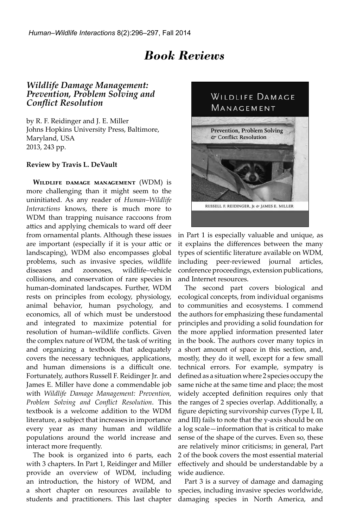## *Book Reviews*

### *Wildlife Damage Management: Prevention, Problem Solving and Conflict Resolution*

by R. F. Reidinger and J. E. Miller Johns Hopkins University Press, Baltimore, Maryland, USA 2013, 243 pp.

#### **Review by Travis L. DeVault**

**Wildlife damage management** (WDM) is more challenging than it might seem to the uninitiated. As any reader of *Human–Wildlife Interactions* knows, there is much more to WDM than trapping nuisance raccoons from attics and applying chemicals to ward off deer from ornamental plants. Although these issues are important (especially if it is your attic or landscaping), WDM also encompasses global problems, such as invasive species, wildlife diseases and zoonoses, wildlife–vehicle collisions, and conservation of rare species in human-dominated landscapes. Further, WDM rests on principles from ecology, physiology, animal behavior, human psychology, and economics, all of which must be understood and integrated to maximize potential for resolution of human–wildlife conflicts. Given the complex nature of WDM, the task of writing and organizing a textbook that adequately covers the necessary techniques, applications, and human dimensions is a difficult one. Fortunately, authors Russell F. Reidinger Jr. and James E. Miller have done a commendable job with *Wildlife Damage Management: Prevention, Problem Solving and Conflict Resolution*. This textbook is a welcome addition to the WDM literature, a subject that increases in importance every year as many human and wildlife populations around the world increase and interact more frequently.

The book is organized into 6 parts, each with 3 chapters. In Part 1, Reidinger and Miller provide an overview of WDM, including an introduction, the history of WDM, and a short chapter on resources available to students and practitioners. This last chapter



in Part 1 is especially valuable and unique, as it explains the differences between the many types of scientific literature available on WDM, including peer-reviewed journal articles, conference proceedings, extension publications, and Internet resources.

The second part covers biological and ecological concepts, from individual organisms to communities and ecosystems. I commend the authors for emphasizing these fundamental principles and providing a solid foundation for the more applied information presented later in the book. The authors cover many topics in a short amount of space in this section, and, mostly, they do it well, except for a few small technical errors. For example, sympatry is defined as a situation where 2 species occupy the same niche at the same time and place; the most widely accepted definition requires only that the ranges of 2 species overlap. Additionally, a figure depicting survivorship curves (Type I, II, and III) fails to note that the y-axis should be on a log scale—information that is critical to make sense of the shape of the curves. Even so, these are relatively minor criticisms; in general, Part 2 of the book covers the most essential material effectively and should be understandable by a wide audience.

Part 3 is a survey of damage and damaging species, including invasive species worldwide, damaging species in North America, and